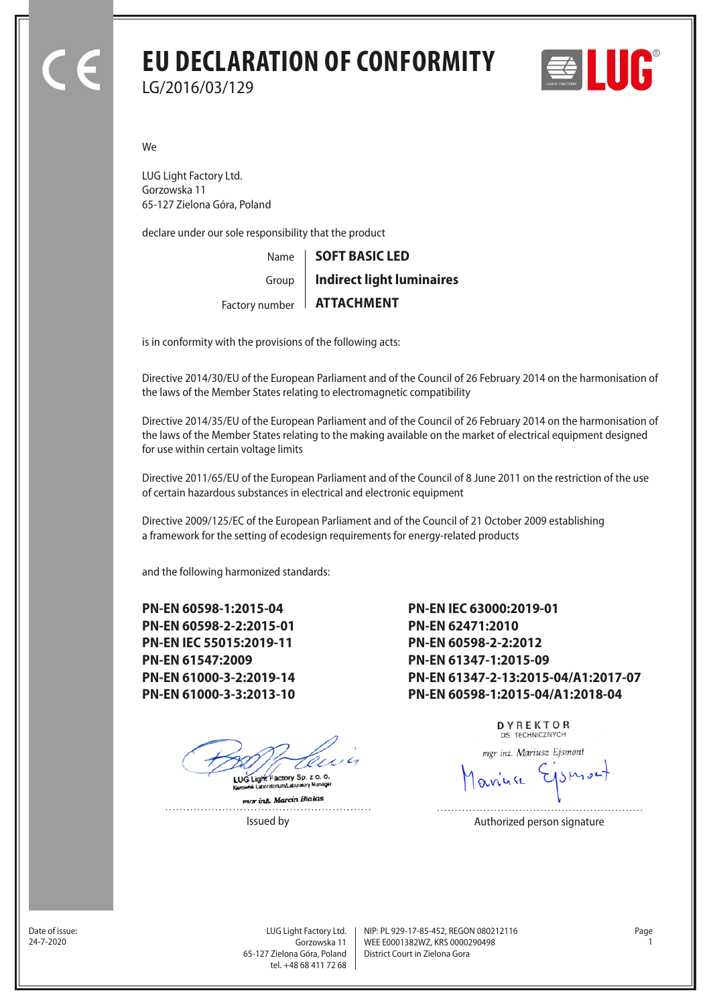# **EU DECLARATION OF CONFORMITY** LG/2016/03/129



We

LUG Light Factory Ltd. Gorzowska 11 65-127 Zielona Góra, Poland

declare under our sole responsibility that the product

Name Factory number **ATTACHMENT** Group **SOFT BASIC LED Indirect light luminaires**

is in conformity with the provisions of the following acts:

Directive 2014/30/EU of the European Parliament and of the Council of 26 February 2014 on the harmonisation of the laws of the Member States relating to electromagnetic compatibility

Directive 2014/35/EU of the European Parliament and of the Council of 26 February 2014 on the harmonisation of the laws of the Member States relating to the making available on the market of electrical equipment designed for use within certain voltage limits

Directive 2011/65/EU of the European Parliament and of the Council of 8 June 2011 on the restriction of the use of certain hazardous substances in electrical and electronic equipment

Directive 2009/125/EC of the European Parliament and of the Council of 21 October 2009 establishing a framework for the setting of ecodesign requirements for energy-related products

and the following harmonized standards:

**PN-EN 60598-1:2015-04 PN-EN 60598-2-2:2015-01 PN-EN IEC 55015:2019-11 PN-EN 61547:2009 PN-EN 61000-3-2:2019-14 PN-EN 61000-3-3:2013-10**

LUG Light Factory Sp. z o. o.

mar inz. Marcin Bialas . . . . . . . . . . . . . . .

**PN-EN IEC 63000:2019-01 PN-EN 62471:2010 PN-EN 60598-2-2:2012 PN-EN 61347-1:2015-09 PN-EN 61347-2-13:2015-04/A1:2017-07 PN-EN 60598-1:2015-04/A1:2018-04**

> DYREKTOR DS. TECHNICZNYCH

mgr inż. Mariusz Ejsmont

Issued by **Authorized person signature** 

Date of issue:<br>24-7-2020

Gorzowska 11 65-127 Zielona Góra, Poland tel. +48 68 411 72 68

LUG Light Factory Ltd. Page NIP: PL 929-17-85-452, REGON 080212116 WEE E0001382WZ, KRS 0000290498 24-7-2020 1 District Court in Zielona Gora